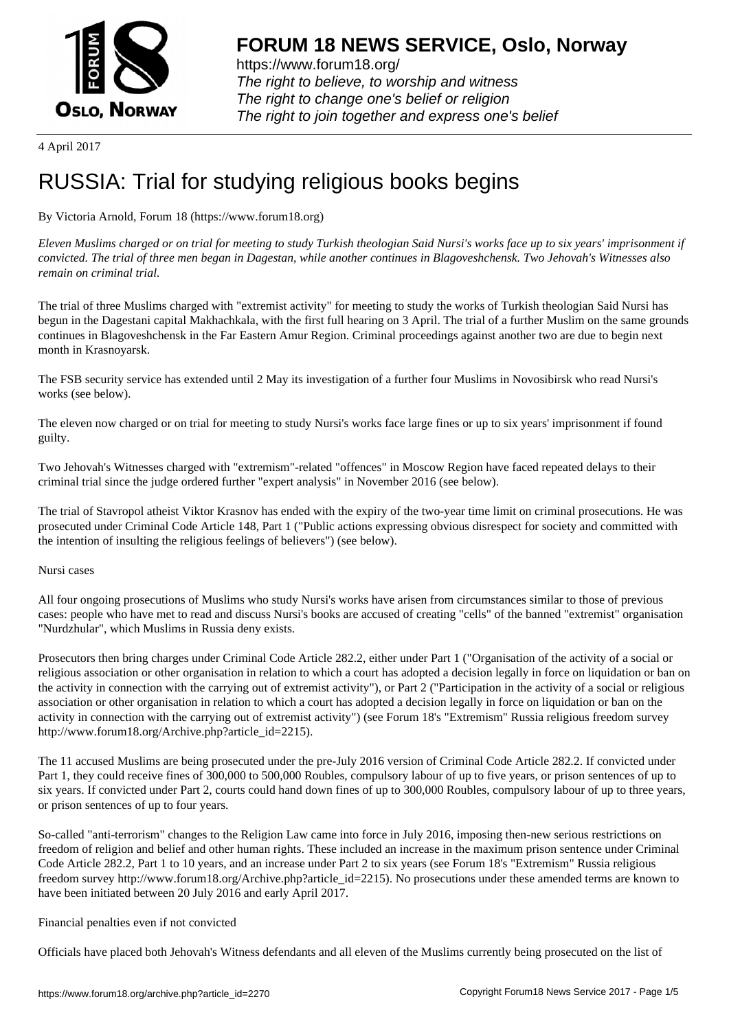

https://www.forum18.org/ The right to believe, to worship and witness The right to change one's belief or religion [The right to join together a](https://www.forum18.org/)nd express one's belief

4 April 2017

# [RUSSIA: Trial f](https://www.forum18.org)or studying religious books begins

## By Victoria Arnold, Forum 18 (https://www.forum18.org)

*Eleven Muslims charged or on trial for meeting to study Turkish theologian Said Nursi's works face up to six years' imprisonment if convicted. The trial of three men began in Dagestan, while another continues in Blagoveshchensk. Two Jehovah's Witnesses also remain on criminal trial.*

The trial of three Muslims charged with "extremist activity" for meeting to study the works of Turkish theologian Said Nursi has begun in the Dagestani capital Makhachkala, with the first full hearing on 3 April. The trial of a further Muslim on the same grounds continues in Blagoveshchensk in the Far Eastern Amur Region. Criminal proceedings against another two are due to begin next month in Krasnoyarsk.

The FSB security service has extended until 2 May its investigation of a further four Muslims in Novosibirsk who read Nursi's works (see below).

The eleven now charged or on trial for meeting to study Nursi's works face large fines or up to six years' imprisonment if found guilty.

Two Jehovah's Witnesses charged with "extremism"-related "offences" in Moscow Region have faced repeated delays to their criminal trial since the judge ordered further "expert analysis" in November 2016 (see below).

The trial of Stavropol atheist Viktor Krasnov has ended with the expiry of the two-year time limit on criminal prosecutions. He was prosecuted under Criminal Code Article 148, Part 1 ("Public actions expressing obvious disrespect for society and committed with the intention of insulting the religious feelings of believers") (see below).

Nursi cases

All four ongoing prosecutions of Muslims who study Nursi's works have arisen from circumstances similar to those of previous cases: people who have met to read and discuss Nursi's books are accused of creating "cells" of the banned "extremist" organisation "Nurdzhular", which Muslims in Russia deny exists.

Prosecutors then bring charges under Criminal Code Article 282.2, either under Part 1 ("Organisation of the activity of a social or religious association or other organisation in relation to which a court has adopted a decision legally in force on liquidation or ban on the activity in connection with the carrying out of extremist activity"), or Part 2 ("Participation in the activity of a social or religious association or other organisation in relation to which a court has adopted a decision legally in force on liquidation or ban on the activity in connection with the carrying out of extremist activity") (see Forum 18's "Extremism" Russia religious freedom survey http://www.forum18.org/Archive.php?article\_id=2215).

The 11 accused Muslims are being prosecuted under the pre-July 2016 version of Criminal Code Article 282.2. If convicted under Part 1, they could receive fines of 300,000 to 500,000 Roubles, compulsory labour of up to five years, or prison sentences of up to six years. If convicted under Part 2, courts could hand down fines of up to 300,000 Roubles, compulsory labour of up to three years, or prison sentences of up to four years.

So-called "anti-terrorism" changes to the Religion Law came into force in July 2016, imposing then-new serious restrictions on freedom of religion and belief and other human rights. These included an increase in the maximum prison sentence under Criminal Code Article 282.2, Part 1 to 10 years, and an increase under Part 2 to six years (see Forum 18's "Extremism" Russia religious freedom survey http://www.forum18.org/Archive.php?article\_id=2215). No prosecutions under these amended terms are known to have been initiated between 20 July 2016 and early April 2017.

### Financial penalties even if not convicted

Officials have placed both Jehovah's Witness defendants and all eleven of the Muslims currently being prosecuted on the list of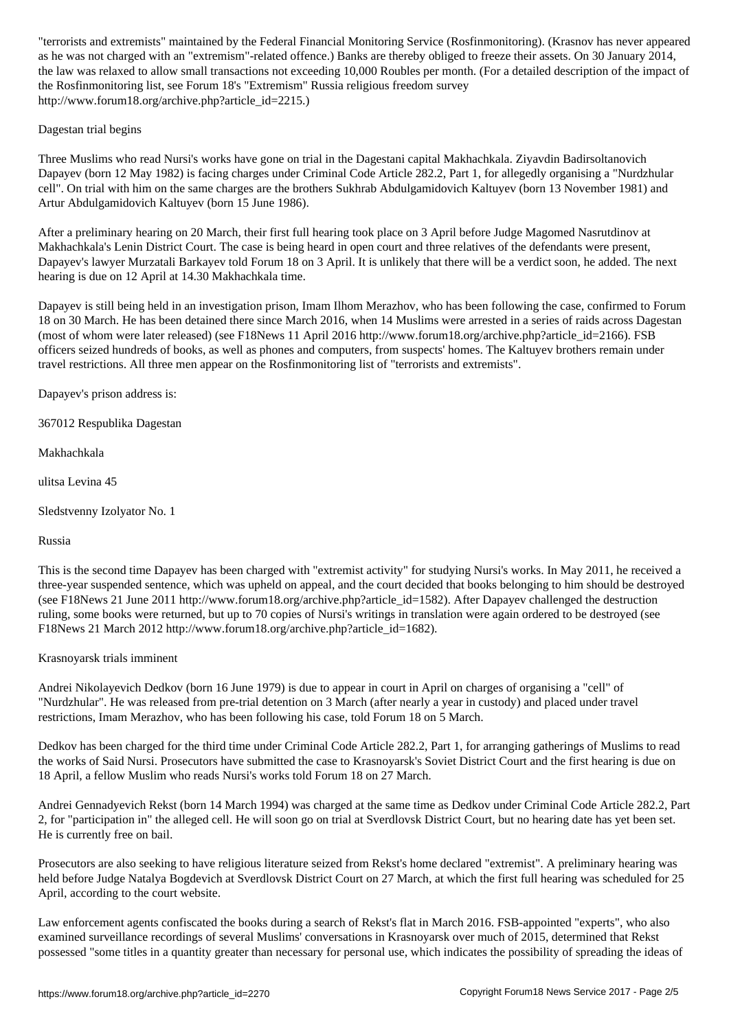as he was not charged with an "extremism"-related offence.) Banks are thereby obliged to freeze their assets. On 30 January 2014, the law was relaxed to allow small transactions not exceeding 10,000 Roubles per month. (For a detailed description of the impact of the Rosfinmonitoring list, see Forum 18's "Extremism" Russia religious freedom survey http://www.forum18.org/archive.php?article\_id=2215.)

### Dagestan trial begins

Three Muslims who read Nursi's works have gone on trial in the Dagestani capital Makhachkala. Ziyavdin Badirsoltanovich Dapayev (born 12 May 1982) is facing charges under Criminal Code Article 282.2, Part 1, for allegedly organising a "Nurdzhular cell". On trial with him on the same charges are the brothers Sukhrab Abdulgamidovich Kaltuyev (born 13 November 1981) and Artur Abdulgamidovich Kaltuyev (born 15 June 1986).

After a preliminary hearing on 20 March, their first full hearing took place on 3 April before Judge Magomed Nasrutdinov at Makhachkala's Lenin District Court. The case is being heard in open court and three relatives of the defendants were present, Dapayev's lawyer Murzatali Barkayev told Forum 18 on 3 April. It is unlikely that there will be a verdict soon, he added. The next hearing is due on 12 April at 14.30 Makhachkala time.

Dapayev is still being held in an investigation prison, Imam Ilhom Merazhov, who has been following the case, confirmed to Forum 18 on 30 March. He has been detained there since March 2016, when 14 Muslims were arrested in a series of raids across Dagestan (most of whom were later released) (see F18News 11 April 2016 http://www.forum18.org/archive.php?article\_id=2166). FSB officers seized hundreds of books, as well as phones and computers, from suspects' homes. The Kaltuyev brothers remain under travel restrictions. All three men appear on the Rosfinmonitoring list of "terrorists and extremists".

Dapayev's prison address is:

367012 Respublika Dagestan

Makhachkala

ulitsa Levina 45

Sledstvenny Izolyator No. 1

Russia

This is the second time Dapayev has been charged with "extremist activity" for studying Nursi's works. In May 2011, he received a three-year suspended sentence, which was upheld on appeal, and the court decided that books belonging to him should be destroyed (see F18News 21 June 2011 http://www.forum18.org/archive.php?article\_id=1582). After Dapayev challenged the destruction ruling, some books were returned, but up to 70 copies of Nursi's writings in translation were again ordered to be destroyed (see F18News 21 March 2012 http://www.forum18.org/archive.php?article\_id=1682).

Krasnoyarsk trials imminent

Andrei Nikolayevich Dedkov (born 16 June 1979) is due to appear in court in April on charges of organising a "cell" of "Nurdzhular". He was released from pre-trial detention on 3 March (after nearly a year in custody) and placed under travel restrictions, Imam Merazhov, who has been following his case, told Forum 18 on 5 March.

Dedkov has been charged for the third time under Criminal Code Article 282.2, Part 1, for arranging gatherings of Muslims to read the works of Said Nursi. Prosecutors have submitted the case to Krasnoyarsk's Soviet District Court and the first hearing is due on 18 April, a fellow Muslim who reads Nursi's works told Forum 18 on 27 March.

Andrei Gennadyevich Rekst (born 14 March 1994) was charged at the same time as Dedkov under Criminal Code Article 282.2, Part 2, for "participation in" the alleged cell. He will soon go on trial at Sverdlovsk District Court, but no hearing date has yet been set. He is currently free on bail.

Prosecutors are also seeking to have religious literature seized from Rekst's home declared "extremist". A preliminary hearing was held before Judge Natalya Bogdevich at Sverdlovsk District Court on 27 March, at which the first full hearing was scheduled for 25 April, according to the court website.

Law enforcement agents confiscated the books during a search of Rekst's flat in March 2016. FSB-appointed "experts", who also examined surveillance recordings of several Muslims' conversations in Krasnoyarsk over much of 2015, determined that Rekst possessed "some titles in a quantity greater than necessary for personal use, which indicates the possibility of spreading the ideas of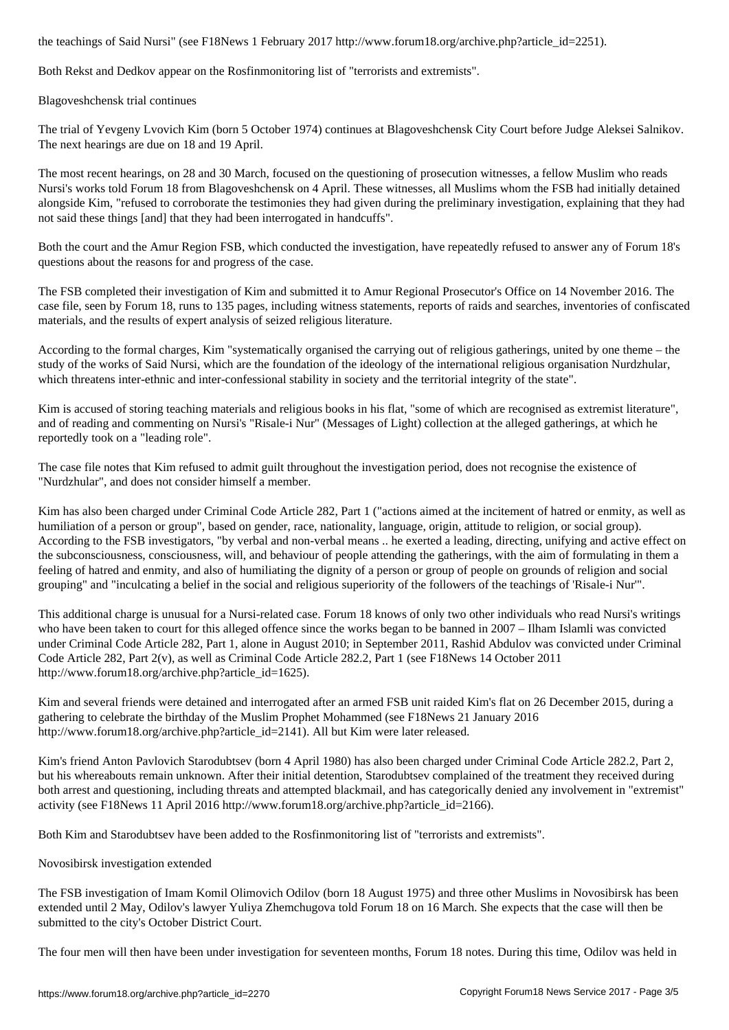Both Rekst and Dedkov appear on the Rosfinmonitoring list of "terrorists and extremists".

Blagoveshchensk trial continues

The trial of Yevgeny Lvovich Kim (born 5 October 1974) continues at Blagoveshchensk City Court before Judge Aleksei Salnikov. The next hearings are due on 18 and 19 April.

The most recent hearings, on 28 and 30 March, focused on the questioning of prosecution witnesses, a fellow Muslim who reads Nursi's works told Forum 18 from Blagoveshchensk on 4 April. These witnesses, all Muslims whom the FSB had initially detained alongside Kim, "refused to corroborate the testimonies they had given during the preliminary investigation, explaining that they had not said these things [and] that they had been interrogated in handcuffs".

Both the court and the Amur Region FSB, which conducted the investigation, have repeatedly refused to answer any of Forum 18's questions about the reasons for and progress of the case.

The FSB completed their investigation of Kim and submitted it to Amur Regional Prosecutor's Office on 14 November 2016. The case file, seen by Forum 18, runs to 135 pages, including witness statements, reports of raids and searches, inventories of confiscated materials, and the results of expert analysis of seized religious literature.

According to the formal charges, Kim "systematically organised the carrying out of religious gatherings, united by one theme – the study of the works of Said Nursi, which are the foundation of the ideology of the international religious organisation Nurdzhular, which threatens inter-ethnic and inter-confessional stability in society and the territorial integrity of the state".

Kim is accused of storing teaching materials and religious books in his flat, "some of which are recognised as extremist literature", and of reading and commenting on Nursi's "Risale-i Nur" (Messages of Light) collection at the alleged gatherings, at which he reportedly took on a "leading role".

The case file notes that Kim refused to admit guilt throughout the investigation period, does not recognise the existence of "Nurdzhular", and does not consider himself a member.

Kim has also been charged under Criminal Code Article 282, Part 1 ("actions aimed at the incitement of hatred or enmity, as well as humiliation of a person or group", based on gender, race, nationality, language, origin, attitude to religion, or social group). According to the FSB investigators, "by verbal and non-verbal means .. he exerted a leading, directing, unifying and active effect on the subconsciousness, consciousness, will, and behaviour of people attending the gatherings, with the aim of formulating in them a feeling of hatred and enmity, and also of humiliating the dignity of a person or group of people on grounds of religion and social grouping" and "inculcating a belief in the social and religious superiority of the followers of the teachings of 'Risale-i Nur'".

This additional charge is unusual for a Nursi-related case. Forum 18 knows of only two other individuals who read Nursi's writings who have been taken to court for this alleged offence since the works began to be banned in 2007 – Ilham Islamli was convicted under Criminal Code Article 282, Part 1, alone in August 2010; in September 2011, Rashid Abdulov was convicted under Criminal Code Article 282, Part 2(v), as well as Criminal Code Article 282.2, Part 1 (see F18News 14 October 2011 http://www.forum18.org/archive.php?article\_id=1625).

Kim and several friends were detained and interrogated after an armed FSB unit raided Kim's flat on 26 December 2015, during a gathering to celebrate the birthday of the Muslim Prophet Mohammed (see F18News 21 January 2016 http://www.forum18.org/archive.php?article\_id=2141). All but Kim were later released.

Kim's friend Anton Pavlovich Starodubtsev (born 4 April 1980) has also been charged under Criminal Code Article 282.2, Part 2, but his whereabouts remain unknown. After their initial detention, Starodubtsev complained of the treatment they received during both arrest and questioning, including threats and attempted blackmail, and has categorically denied any involvement in "extremist" activity (see F18News 11 April 2016 http://www.forum18.org/archive.php?article\_id=2166).

Both Kim and Starodubtsev have been added to the Rosfinmonitoring list of "terrorists and extremists".

Novosibirsk investigation extended

The FSB investigation of Imam Komil Olimovich Odilov (born 18 August 1975) and three other Muslims in Novosibirsk has been extended until 2 May, Odilov's lawyer Yuliya Zhemchugova told Forum 18 on 16 March. She expects that the case will then be submitted to the city's October District Court.

The four men will then have been under investigation for seventeen months, Forum 18 notes. During this time, Odilov was held in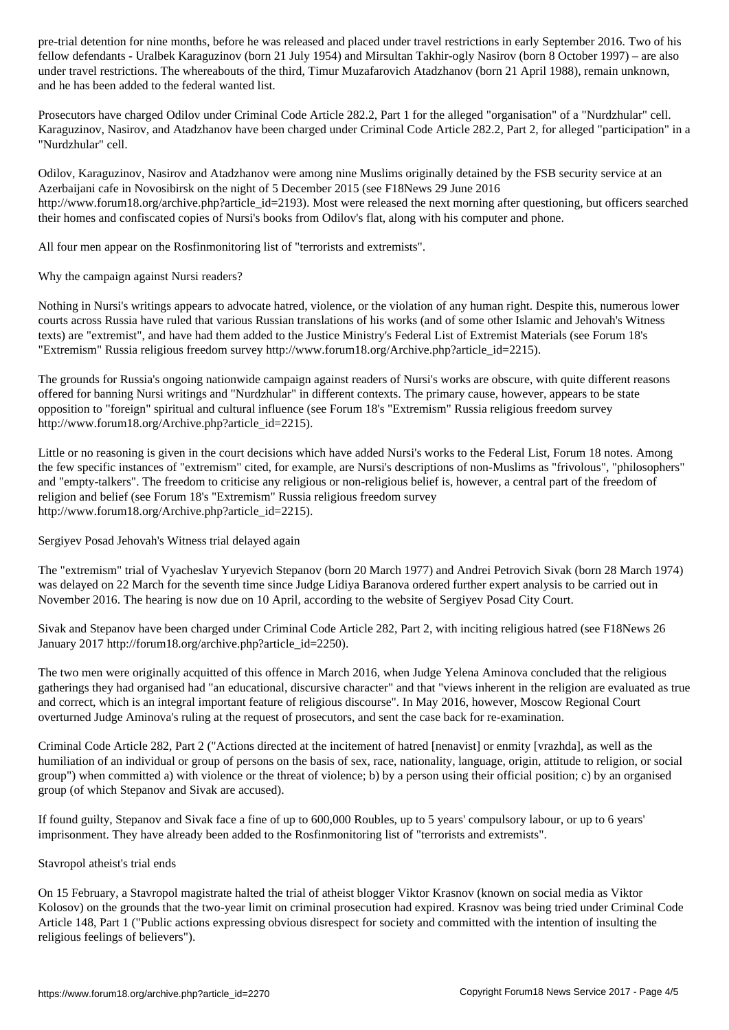fellow defendants - Uralbek Karaguzinov (born 21 July 1954) and Mirsultan Takhir-ogly Nasirov (born 8 October 1997) – are also under travel restrictions. The whereabouts of the third, Timur Muzafarovich Atadzhanov (born 21 April 1988), remain unknown, and he has been added to the federal wanted list.

Prosecutors have charged Odilov under Criminal Code Article 282.2, Part 1 for the alleged "organisation" of a "Nurdzhular" cell. Karaguzinov, Nasirov, and Atadzhanov have been charged under Criminal Code Article 282.2, Part 2, for alleged "participation" in a "Nurdzhular" cell.

Odilov, Karaguzinov, Nasirov and Atadzhanov were among nine Muslims originally detained by the FSB security service at an Azerbaijani cafe in Novosibirsk on the night of 5 December 2015 (see F18News 29 June 2016 http://www.forum18.org/archive.php?article\_id=2193). Most were released the next morning after questioning, but officers searched their homes and confiscated copies of Nursi's books from Odilov's flat, along with his computer and phone.

All four men appear on the Rosfinmonitoring list of "terrorists and extremists".

Why the campaign against Nursi readers?

Nothing in Nursi's writings appears to advocate hatred, violence, or the violation of any human right. Despite this, numerous lower courts across Russia have ruled that various Russian translations of his works (and of some other Islamic and Jehovah's Witness texts) are "extremist", and have had them added to the Justice Ministry's Federal List of Extremist Materials (see Forum 18's "Extremism" Russia religious freedom survey http://www.forum18.org/Archive.php?article\_id=2215).

The grounds for Russia's ongoing nationwide campaign against readers of Nursi's works are obscure, with quite different reasons offered for banning Nursi writings and "Nurdzhular" in different contexts. The primary cause, however, appears to be state opposition to "foreign" spiritual and cultural influence (see Forum 18's "Extremism" Russia religious freedom survey http://www.forum18.org/Archive.php?article\_id=2215).

Little or no reasoning is given in the court decisions which have added Nursi's works to the Federal List, Forum 18 notes. Among the few specific instances of "extremism" cited, for example, are Nursi's descriptions of non-Muslims as "frivolous", "philosophers" and "empty-talkers". The freedom to criticise any religious or non-religious belief is, however, a central part of the freedom of religion and belief (see Forum 18's "Extremism" Russia religious freedom survey http://www.forum18.org/Archive.php?article\_id=2215).

Sergiyev Posad Jehovah's Witness trial delayed again

The "extremism" trial of Vyacheslav Yuryevich Stepanov (born 20 March 1977) and Andrei Petrovich Sivak (born 28 March 1974) was delayed on 22 March for the seventh time since Judge Lidiya Baranova ordered further expert analysis to be carried out in November 2016. The hearing is now due on 10 April, according to the website of Sergiyev Posad City Court.

Sivak and Stepanov have been charged under Criminal Code Article 282, Part 2, with inciting religious hatred (see F18News 26 January 2017 http://forum18.org/archive.php?article\_id=2250).

The two men were originally acquitted of this offence in March 2016, when Judge Yelena Aminova concluded that the religious gatherings they had organised had "an educational, discursive character" and that "views inherent in the religion are evaluated as true and correct, which is an integral important feature of religious discourse". In May 2016, however, Moscow Regional Court overturned Judge Aminova's ruling at the request of prosecutors, and sent the case back for re-examination.

Criminal Code Article 282, Part 2 ("Actions directed at the incitement of hatred [nenavist] or enmity [vrazhda], as well as the humiliation of an individual or group of persons on the basis of sex, race, nationality, language, origin, attitude to religion, or social group") when committed a) with violence or the threat of violence; b) by a person using their official position; c) by an organised group (of which Stepanov and Sivak are accused).

If found guilty, Stepanov and Sivak face a fine of up to 600,000 Roubles, up to 5 years' compulsory labour, or up to 6 years' imprisonment. They have already been added to the Rosfinmonitoring list of "terrorists and extremists".

#### Stavropol atheist's trial ends

On 15 February, a Stavropol magistrate halted the trial of atheist blogger Viktor Krasnov (known on social media as Viktor Kolosov) on the grounds that the two-year limit on criminal prosecution had expired. Krasnov was being tried under Criminal Code Article 148, Part 1 ("Public actions expressing obvious disrespect for society and committed with the intention of insulting the religious feelings of believers").